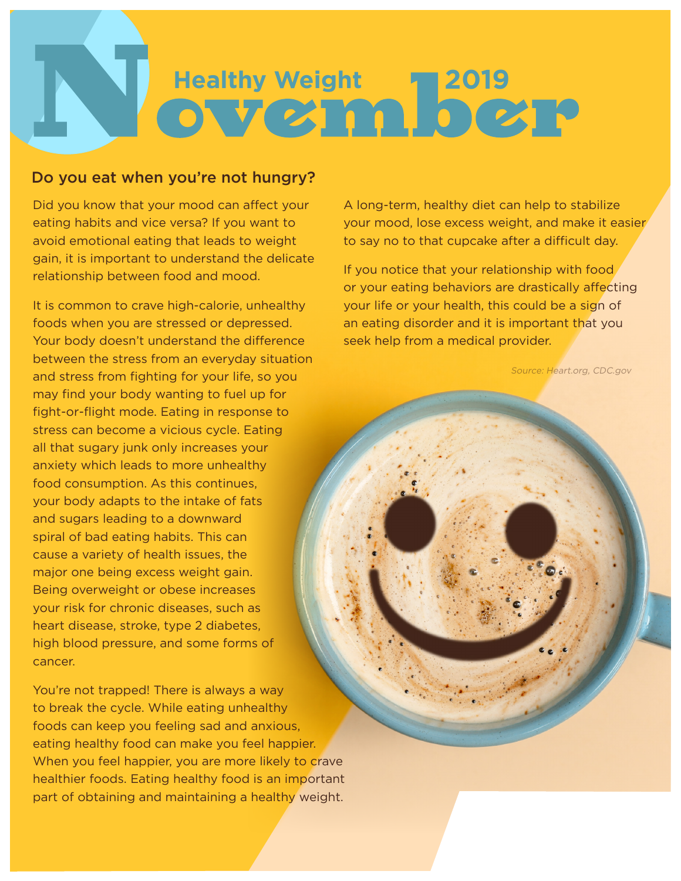# **Healthy Weight<br>
ON V CALL D CALP**

# Do you eat when you're not hungry?

Did you know that your mood can affect your eating habits and vice versa? If you want to avoid emotional eating that leads to weight gain, it is important to understand the delicate relationship between food and mood.

It is common to crave high-calorie, unhealthy foods when you are stressed or depressed. Your body doesn't understand the difference between the stress from an everyday situation and stress from fighting for your life, so you may find your body wanting to fuel up for fight-or-flight mode. Eating in response to stress can become a vicious cycle. Eating all that sugary junk only increases your anxiety which leads to more unhealthy food consumption. As this continues, your body adapts to the intake of fats and sugars leading to a downward spiral of bad eating habits. This can cause a variety of health issues, the major one being excess weight gain. Being overweight or obese increases your risk for chronic diseases, such as heart disease, stroke, type 2 diabetes, high blood pressure, and some forms of cancer.

You're not trapped! There is always a way to break the cycle. While eating unhealthy foods can keep you feeling sad and anxious, eating healthy food can make you feel happier. When you feel happier, you are more likely to crave healthier foods. Eating healthy food is an important part of obtaining and maintaining a healthy weight.

A long-term, healthy diet can help to stabilize your mood, lose excess weight, and make it easier to say no to that cupcake after a difficult day.

If you notice that your relationship with food or your eating behaviors are drastically affecting your life or your health, this could be a sign of an eating disorder and it is important that you seek help from a medical provider.

Source: Heart.org, CDC.gov